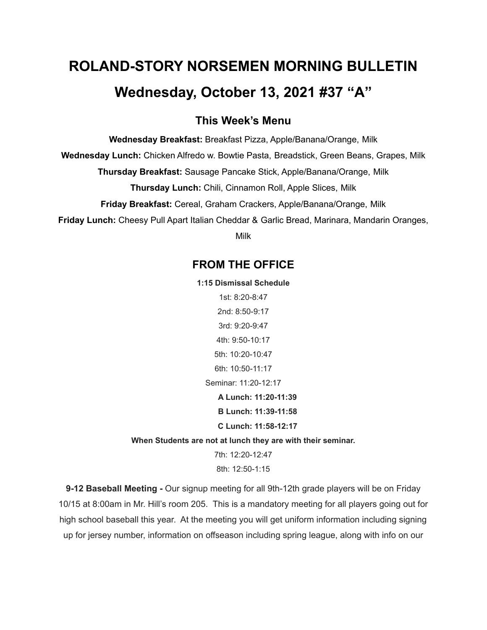# **ROLAND-STORY NORSEMEN MORNING BULLETIN Wednesday, October 13, 2021 #37 "A"**

## **This Week's Menu**

**Wednesday Breakfast:** Breakfast Pizza, Apple/Banana/Orange, Milk

**Wednesday Lunch:** Chicken Alfredo w. Bowtie Pasta, Breadstick, Green Beans, Grapes, Milk

**Thursday Breakfast:** Sausage Pancake Stick, Apple/Banana/Orange, Milk

**Thursday Lunch:** Chili, Cinnamon Roll, Apple Slices, Milk

**Friday Breakfast:** Cereal, Graham Crackers, Apple/Banana/Orange, Milk

**Friday Lunch:** Cheesy Pull Apart Italian Cheddar & Garlic Bread, Marinara, Mandarin Oranges,

Milk

## **FROM THE OFFICE**

**1:15 Dismissal Schedule**

1st: 8:20-8:47 2nd: 8:50-9:17 3rd: 9:20-9:47 4th: 9:50-10:17 5th: 10:20-10:47 6th: 10:50-11:17 Seminar: 11:20-12:17 **A Lunch: 11:20-11:39 B Lunch: 11:39-11:58 C Lunch: 11:58-12:17 When Students are not at lunch they are with their seminar.**

7th: 12:20-12:47 8th: 12:50-1:15

**9-12 Baseball Meeting -** Our signup meeting for all 9th-12th grade players will be on Friday 10/15 at 8:00am in Mr. Hill's room 205. This is a mandatory meeting for all players going out for high school baseball this year. At the meeting you will get uniform information including signing up for jersey number, information on offseason including spring league, along with info on our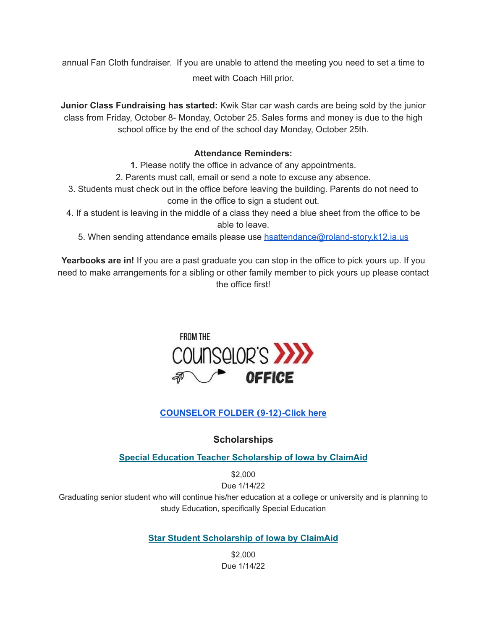annual Fan Cloth fundraiser. If you are unable to attend the meeting you need to set a time to meet with Coach Hill prior.

**Junior Class Fundraising has started:** Kwik Star car wash cards are being sold by the junior class from Friday, October 8- Monday, October 25. Sales forms and money is due to the high school office by the end of the school day Monday, October 25th.

#### **Attendance Reminders:**

**1.** Please notify the office in advance of any appointments.

2. Parents must call, email or send a note to excuse any absence.

- 3. Students must check out in the office before leaving the building. Parents do not need to come in the office to sign a student out.
- 4. If a student is leaving in the middle of a class they need a blue sheet from the office to be able to leave.
	- 5. When sending attendance emails please use [hsattendance@roland-story.k12.ia.us](mailto:hsattendance@roland-story.k12.ia.us)

**Yearbooks are in!** If you are a past graduate you can stop in the office to pick yours up. If you need to make arrangements for a sibling or other family member to pick yours up please contact the office first!



## **[COUNSELOR](https://docs.google.com/document/d/1vmwczNPbDzXe9vFaG5LJMQ7NYDv-i4oQJHybqA65TUc/edit?usp=sharing) FOLDER (9-12)-Click here**

### **Scholarships**

**Special Education Teacher [Scholarship](https://www.claimaid.com/se-teacher-scholarship/) of Iowa by ClaimAid**

\$2,000

Due 1/14/22

Graduating senior student who will continue his/her education at a college or university and is planning to study Education, specifically Special Education

**Star Student [Scholarship](https://www.claimaid.com/star-student-scholarship/) of Iowa by ClaimAid**

\$2,000 Due 1/14/22